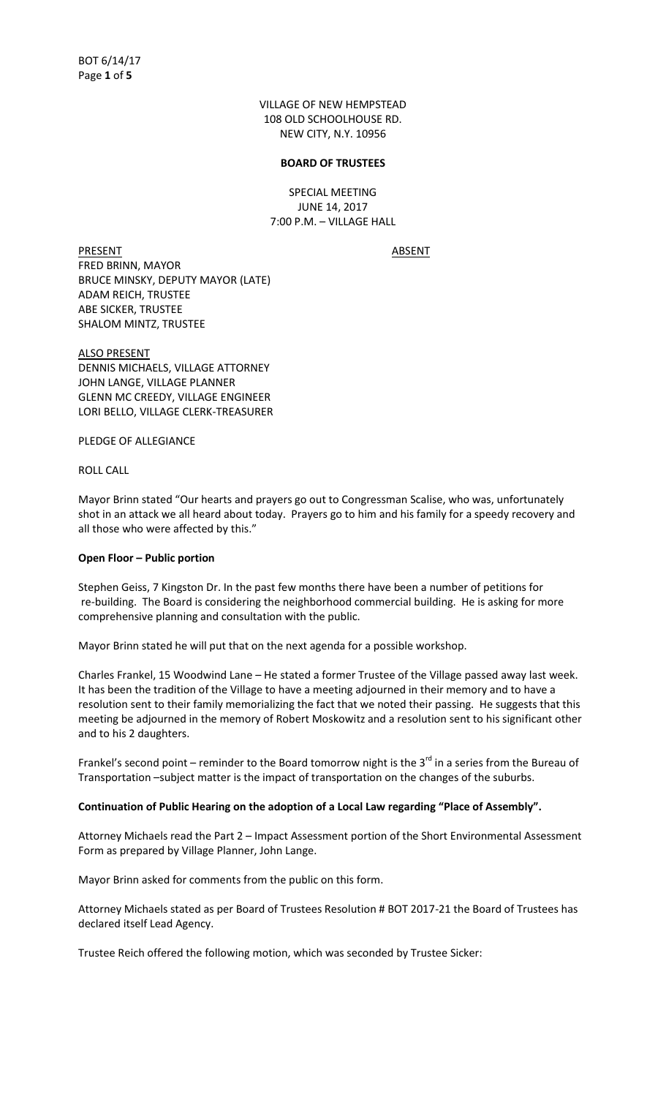VILLAGE OF NEW HEMPSTEAD 108 OLD SCHOOLHOUSE RD. NEW CITY, N.Y. 10956

### **BOARD OF TRUSTEES**

SPECIAL MEETING JUNE 14, 2017 7:00 P.M. – VILLAGE HALL

PRESENT ABSENT FRED BRINN, MAYOR BRUCE MINSKY, DEPUTY MAYOR (LATE) ADAM REICH, TRUSTEE ABE SICKER, TRUSTEE SHALOM MINTZ, TRUSTEE

ALSO PRESENT DENNIS MICHAELS, VILLAGE ATTORNEY JOHN LANGE, VILLAGE PLANNER GLENN MC CREEDY, VILLAGE ENGINEER LORI BELLO, VILLAGE CLERK-TREASURER

PLEDGE OF ALLEGIANCE

ROLL CALL

Mayor Brinn stated "Our hearts and prayers go out to Congressman Scalise, who was, unfortunately shot in an attack we all heard about today. Prayers go to him and his family for a speedy recovery and all those who were affected by this."

### **Open Floor – Public portion**

Stephen Geiss, 7 Kingston Dr. In the past few months there have been a number of petitions for re-building. The Board is considering the neighborhood commercial building. He is asking for more comprehensive planning and consultation with the public.

Mayor Brinn stated he will put that on the next agenda for a possible workshop.

Charles Frankel, 15 Woodwind Lane – He stated a former Trustee of the Village passed away last week. It has been the tradition of the Village to have a meeting adjourned in their memory and to have a resolution sent to their family memorializing the fact that we noted their passing. He suggests that this meeting be adjourned in the memory of Robert Moskowitz and a resolution sent to his significant other and to his 2 daughters.

Frankel's second point – reminder to the Board tomorrow night is the  $3^{rd}$  in a series from the Bureau of Transportation –subject matter is the impact of transportation on the changes of the suburbs.

### Continuation of Public Hearing on the adoption of a Local Law regarding "Place of Assembly".

Attorney Michaels read the Part 2 – Impact Assessment portion of the Short Environmental Assessment Form as prepared by Village Planner, John Lange.

Mayor Brinn asked for comments from the public on this form.

Attorney Michaels stated as per Board of Trustees Resolution # BOT 2017-21 the Board of Trustees has declared itself Lead Agency.

Trustee Reich offered the following motion, which was seconded by Trustee Sicker: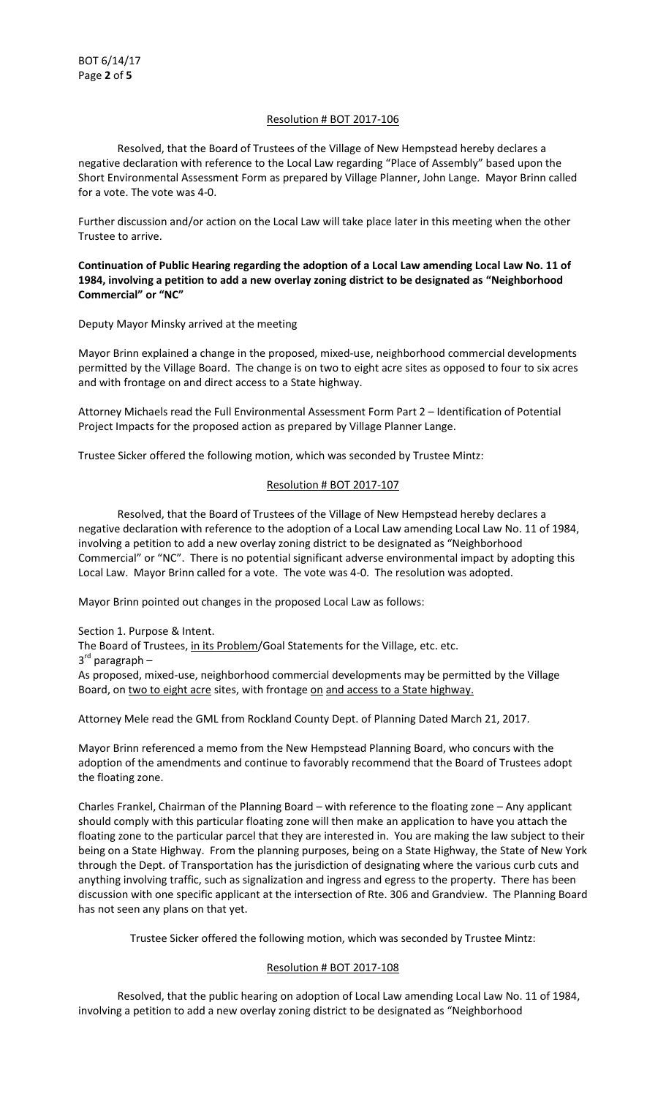## Resolution # BOT 2017-106

 Resolved, that the Board of Trustees of the Village of New Hempstead hereby declares a negative declaration with reference to the Local Law regarding "Place of Assembly" based upon the Short Environmental Assessment Form as prepared by Village Planner, John Lange. Mayor Brinn called for a vote. The vote was 4-0.

Further discussion and/or action on the Local Law will take place later in this meeting when the other Trustee to arrive.

**Continuation of Public Hearing regarding the adoption of a Local Law amending Local Law No. 11 of 1984, involving a petition to add a new overlay zoning district to be designated as "Neighborhood Commercial<sup>"</sup> or "NC"** 

Deputy Mayor Minsky arrived at the meeting

Mayor Brinn explained a change in the proposed, mixed-use, neighborhood commercial developments permitted by the Village Board. The change is on two to eight acre sites as opposed to four to six acres and with frontage on and direct access to a State highway.

Attorney Michaels read the Full Environmental Assessment Form Part 2 – Identification of Potential Project Impacts for the proposed action as prepared by Village Planner Lange.

Trustee Sicker offered the following motion, which was seconded by Trustee Mintz:

# Resolution # BOT 2017-107

 Resolved, that the Board of Trustees of the Village of New Hempstead hereby declares a negative declaration with reference to the adoption of a Local Law amending Local Law No. 11 of 1984, involving a petition to add a new overlay zoning district to be designated as "Neighborhood Commercial" or "NC". There is no potential significant adverse environmental impact by adopting this Local Law. Mayor Brinn called for a vote. The vote was 4-0. The resolution was adopted.

Mayor Brinn pointed out changes in the proposed Local Law as follows:

Section 1. Purpose & Intent.

The Board of Trustees, in its Problem/Goal Statements for the Village, etc. etc.

3<sup>rd</sup> paragraph –

As proposed, mixed-use, neighborhood commercial developments may be permitted by the Village Board, on two to eight acre sites, with frontage on and access to a State highway.

Attorney Mele read the GML from Rockland County Dept. of Planning Dated March 21, 2017.

Mayor Brinn referenced a memo from the New Hempstead Planning Board, who concurs with the adoption of the amendments and continue to favorably recommend that the Board of Trustees adopt the floating zone.

Charles Frankel, Chairman of the Planning Board – with reference to the floating zone – Any applicant should comply with this particular floating zone will then make an application to have you attach the floating zone to the particular parcel that they are interested in. You are making the law subject to their being on a State Highway. From the planning purposes, being on a State Highway, the State of New York through the Dept. of Transportation has the jurisdiction of designating where the various curb cuts and anything involving traffic, such as signalization and ingress and egress to the property. There has been discussion with one specific applicant at the intersection of Rte. 306 and Grandview. The Planning Board has not seen any plans on that yet.

Trustee Sicker offered the following motion, which was seconded by Trustee Mintz:

## Resolution # BOT 2017-108

 Resolved, that the public hearing on adoption of Local Law amending Local Law No. 11 of 1984, involving a petition to add a new overlay zoning district to be designated as "Neighborhood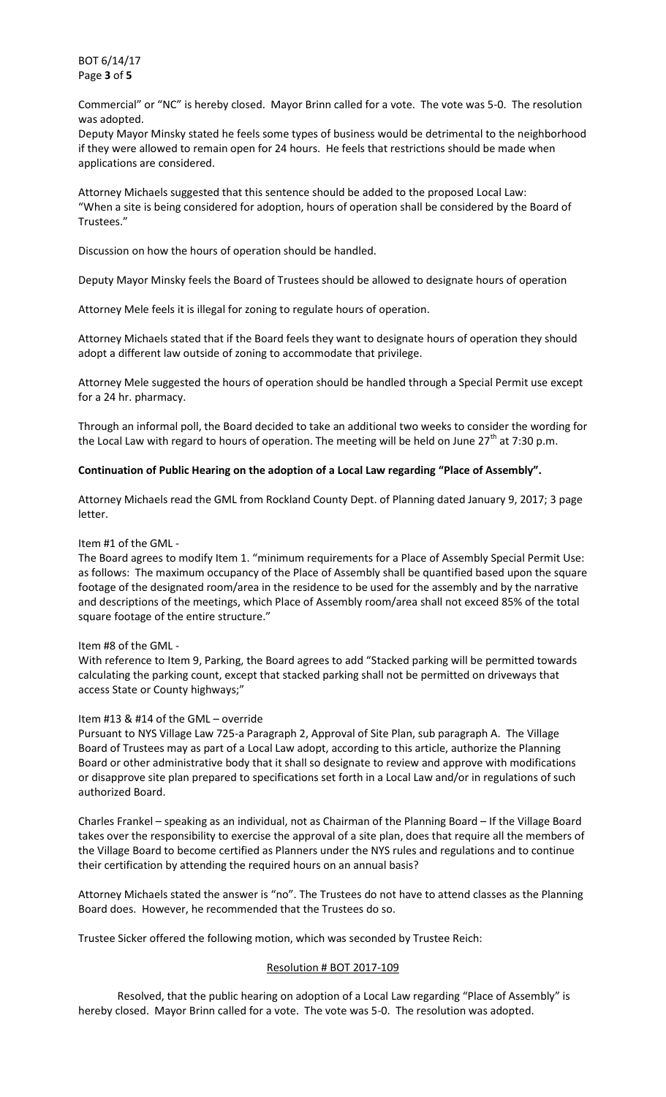BOT 6/14/17 Page **3** of **5**

Commercial" or "NC" is hereby closed. Mayor Brinn called for a vote. The vote was 5-0. The resolution was adopted.

Deputy Mayor Minsky stated he feels some types of business would be detrimental to the neighborhood if they were allowed to remain open for 24 hours. He feels that restrictions should be made when applications are considered.

Attorney Michaels suggested that this sentence should be added to the proposed Local Law: ͞When a site is being considered for adoption, hours of operation shall be considered by the Board of Trustees.͟

Discussion on how the hours of operation should be handled.

Deputy Mayor Minsky feels the Board of Trustees should be allowed to designate hours of operation

Attorney Mele feels it is illegal for zoning to regulate hours of operation.

Attorney Michaels stated that if the Board feels they want to designate hours of operation they should adopt a different law outside of zoning to accommodate that privilege.

Attorney Mele suggested the hours of operation should be handled through a Special Permit use except for a 24 hr. pharmacy.

Through an informal poll, the Board decided to take an additional two weeks to consider the wording for the Local Law with regard to hours of operation. The meeting will be held on June  $27<sup>th</sup>$  at 7:30 p.m.

## **Continuation of Public Hearing on the adoption of a Local Law regarding ͞Place of Assembly͟.**

Attorney Michaels read the GML from Rockland County Dept. of Planning dated January 9, 2017; 3 page letter.

### Item #1 of the GML -

The Board agrees to modify Item 1. "minimum requirements for a Place of Assembly Special Permit Use: as follows: The maximum occupancy of the Place of Assembly shall be quantified based upon the square footage of the designated room/area in the residence to be used for the assembly and by the narrative and descriptions of the meetings, which Place of Assembly room/area shall not exceed 85% of the total square footage of the entire structure."

### Item #8 of the GML -

With reference to Item 9, Parking, the Board agrees to add "Stacked parking will be permitted towards calculating the parking count, except that stacked parking shall not be permitted on driveways that access State or County highways;"

### Item #13 & #14 of the GML – override

Pursuant to NYS Village Law 725-a Paragraph 2, Approval of Site Plan, sub paragraph A. The Village Board of Trustees may as part of a Local Law adopt, according to this article, authorize the Planning Board or other administrative body that it shall so designate to review and approve with modifications or disapprove site plan prepared to specifications set forth in a Local Law and/or in regulations of such authorized Board.

Charles Frankel – speaking as an individual, not as Chairman of the Planning Board – If the Village Board takes over the responsibility to exercise the approval of a site plan, does that require all the members of the Village Board to become certified as Planners under the NYS rules and regulations and to continue their certification by attending the required hours on an annual basis?

Attorney Michaels stated the answer is "no". The Trustees do not have to attend classes as the Planning Board does. However, he recommended that the Trustees do so.

Trustee Sicker offered the following motion, which was seconded by Trustee Reich:

### Resolution # BOT 2017-109

Resolved, that the public hearing on adoption of a Local Law regarding "Place of Assembly" is hereby closed. Mayor Brinn called for a vote. The vote was 5-0. The resolution was adopted.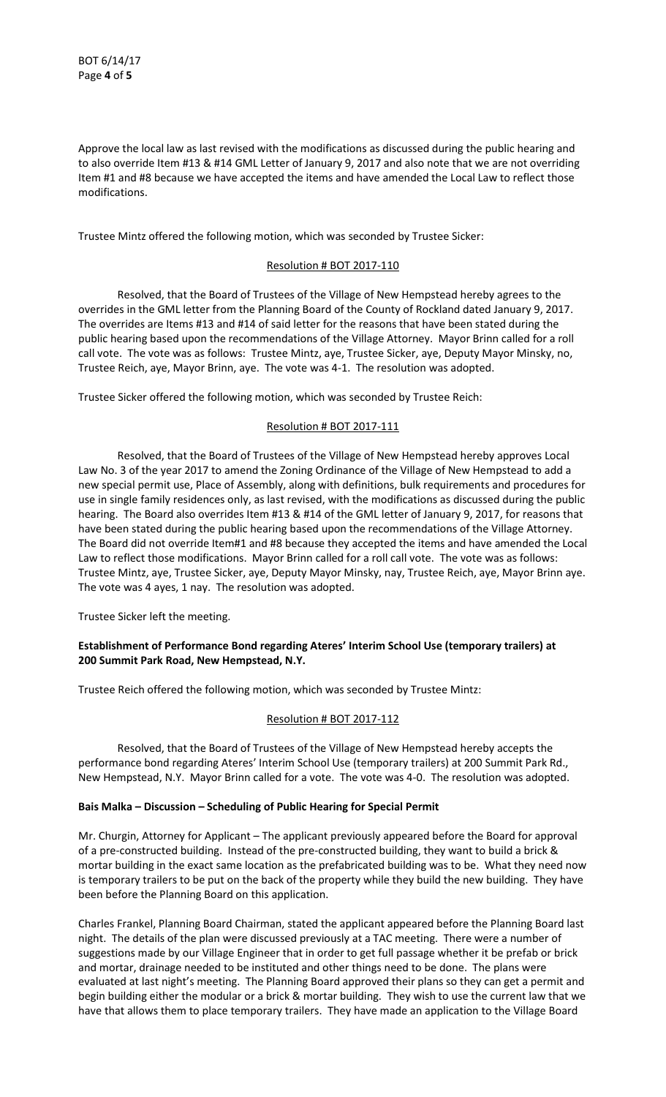Approve the local law as last revised with the modifications as discussed during the public hearing and to also override Item #13 & #14 GML Letter of January 9, 2017 and also note that we are not overriding Item #1 and #8 because we have accepted the items and have amended the Local Law to reflect those modifications.

Trustee Mintz offered the following motion, which was seconded by Trustee Sicker:

### Resolution # BOT 2017-110

 Resolved, that the Board of Trustees of the Village of New Hempstead hereby agrees to the overrides in the GML letter from the Planning Board of the County of Rockland dated January 9, 2017. The overrides are Items #13 and #14 of said letter for the reasons that have been stated during the public hearing based upon the recommendations of the Village Attorney. Mayor Brinn called for a roll call vote. The vote was as follows: Trustee Mintz, aye, Trustee Sicker, aye, Deputy Mayor Minsky, no, Trustee Reich, aye, Mayor Brinn, aye. The vote was 4-1. The resolution was adopted.

Trustee Sicker offered the following motion, which was seconded by Trustee Reich:

### Resolution # BOT 2017-111

 Resolved, that the Board of Trustees of the Village of New Hempstead hereby approves Local Law No. 3 of the year 2017 to amend the Zoning Ordinance of the Village of New Hempstead to add a new special permit use, Place of Assembly, along with definitions, bulk requirements and procedures for use in single family residences only, as last revised, with the modifications as discussed during the public hearing. The Board also overrides Item #13 & #14 of the GML letter of January 9, 2017, for reasons that have been stated during the public hearing based upon the recommendations of the Village Attorney. The Board did not override Item#1 and #8 because they accepted the items and have amended the Local Law to reflect those modifications. Mayor Brinn called for a roll call vote. The vote was as follows: Trustee Mintz, aye, Trustee Sicker, aye, Deputy Mayor Minsky, nay, Trustee Reich, aye, Mayor Brinn aye. The vote was 4 ayes, 1 nay. The resolution was adopted.

Trustee Sicker left the meeting.

## **Establishment of Performance Bond regarding Ateres' Interim School Use (temporary trailers) at 200 Summit Park Road, New Hempstead, N.Y.**

Trustee Reich offered the following motion, which was seconded by Trustee Mintz:

## Resolution # BOT 2017-112

 Resolved, that the Board of Trustees of the Village of New Hempstead hereby accepts the performance bond regarding Ateres' Interim School Use (temporary trailers) at 200 Summit Park Rd., New Hempstead, N.Y. Mayor Brinn called for a vote. The vote was 4-0. The resolution was adopted.

### **Bais Malka – Discussion – Scheduling of Public Hearing for Special Permit**

Mr. Churgin, Attorney for Applicant – The applicant previously appeared before the Board for approval of a pre-constructed building. Instead of the pre-constructed building, they want to build a brick & mortar building in the exact same location as the prefabricated building was to be. What they need now is temporary trailers to be put on the back of the property while they build the new building. They have been before the Planning Board on this application.

Charles Frankel, Planning Board Chairman, stated the applicant appeared before the Planning Board last night. The details of the plan were discussed previously at a TAC meeting. There were a number of suggestions made by our Village Engineer that in order to get full passage whether it be prefab or brick and mortar, drainage needed to be instituted and other things need to be done. The plans were evaluated at last night's meeting. The Planning Board approved their plans so they can get a permit and begin building either the modular or a brick & mortar building. They wish to use the current law that we have that allows them to place temporary trailers. They have made an application to the Village Board